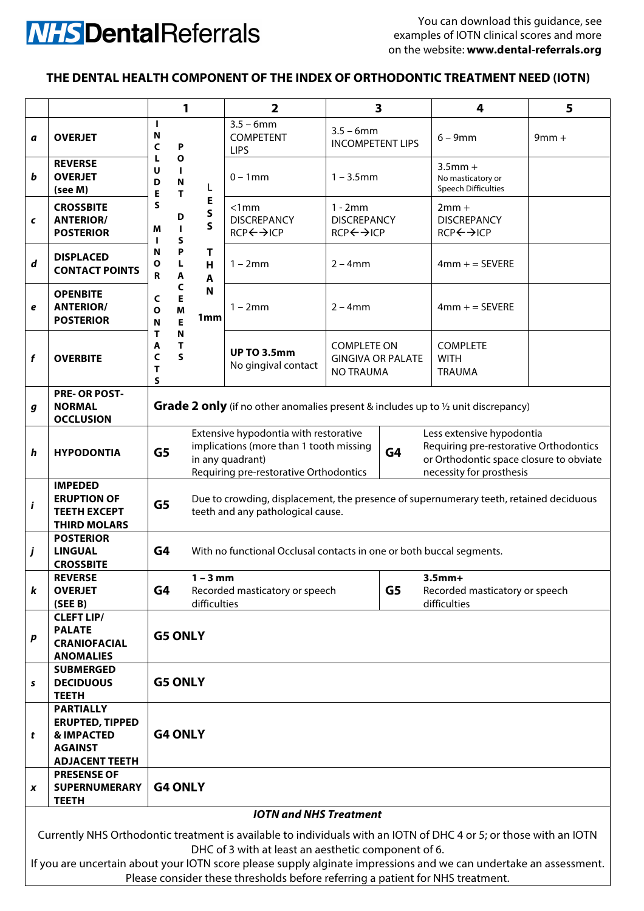## **NHS** Dental Referrals

You can download this guidance, see examples of IOTN clinical scores and more on the website: **www.dental-referrals.org**

## **THE DENTAL HEALTH COMPONENT OF THE INDEX OF ORTHODONTIC TREATMENT NEED (IOTN)**

|                                                                                                                                                                          |                                                                                                                | 1                                                                                                                                             |                                                | $\overline{\mathbf{2}}$                                                                                                                        | $\overline{\mathbf{3}}$                                            |    | 4                                                                                                                                          | 5       |
|--------------------------------------------------------------------------------------------------------------------------------------------------------------------------|----------------------------------------------------------------------------------------------------------------|-----------------------------------------------------------------------------------------------------------------------------------------------|------------------------------------------------|------------------------------------------------------------------------------------------------------------------------------------------------|--------------------------------------------------------------------|----|--------------------------------------------------------------------------------------------------------------------------------------------|---------|
| a                                                                                                                                                                        | <b>OVERJET</b>                                                                                                 | I.<br>N<br>C<br>P                                                                                                                             | L                                              | $3.5 - 6$ mm<br><b>COMPETENT</b><br><b>LIPS</b>                                                                                                | $3.5 - 6$ mm<br><b>INCOMPETENT LIPS</b>                            |    | $6 - 9$ mm                                                                                                                                 | $9mm +$ |
| b                                                                                                                                                                        | <b>REVERSE</b><br><b>OVERJET</b><br>(see M)                                                                    | $\mathbf{o}$<br>L<br>U<br>I.<br>$\mathsf{N}$<br>D<br>T<br>Е                                                                                   |                                                | $0 - 1$ mm                                                                                                                                     | $1 - 3.5$ mm                                                       |    | $3.5$ mm +<br>No masticatory or<br><b>Speech Difficulties</b>                                                                              |         |
| $\pmb{\mathsf{C}}$                                                                                                                                                       | <b>CROSSBITE</b><br><b>ANTERIOR/</b><br><b>POSTERIOR</b>                                                       | S<br>D<br>$\mathbf{I}$<br>М<br>S                                                                                                              | E<br>$\mathsf{s}$<br>$\mathsf{s}$              | < 1mm<br><b>DISCREPANCY</b><br>RCP←→ICP                                                                                                        | $1 - 2mm$<br><b>DISCREPANCY</b><br>RCP←→ICP                        |    | $2mm +$<br><b>DISCREPANCY</b><br>RCP←→ICP                                                                                                  |         |
| $\boldsymbol{d}$                                                                                                                                                         | <b>DISPLACED</b><br><b>CONTACT POINTS</b>                                                                      | P<br>N<br>L<br>Ο<br>A<br>R                                                                                                                    | т<br>H<br>$\mathbf{A}$<br>N<br>1 <sub>mm</sub> | $1 - 2mm$                                                                                                                                      | $2 - 4mm$                                                          |    | $4mm +$ = SEVERE                                                                                                                           |         |
| e                                                                                                                                                                        | <b>OPENBITE</b><br><b>ANTERIOR/</b><br><b>POSTERIOR</b>                                                        | C<br>E<br>C<br>M<br>O<br>E<br>N                                                                                                               |                                                | $1 - 2mm$                                                                                                                                      | $2 - 4mm$                                                          |    | $4mm + = SEVERE$                                                                                                                           |         |
| f                                                                                                                                                                        | <b>OVERBITE</b>                                                                                                | N<br>т<br>T<br>A<br>S<br>C<br>T<br>S                                                                                                          |                                                | <b>UP TO 3.5mm</b><br>No gingival contact                                                                                                      | <b>COMPLETE ON</b><br><b>GINGIVA OR PALATE</b><br><b>NO TRAUMA</b> |    | <b>COMPLETE</b><br><b>WITH</b><br><b>TRAUMA</b>                                                                                            |         |
| g                                                                                                                                                                        | PRE- OR POST-<br><b>NORMAL</b><br><b>OCCLUSION</b>                                                             | <b>Grade 2 only</b> (if no other anomalies present & includes up to 1/2 unit discrepancy)                                                     |                                                |                                                                                                                                                |                                                                    |    |                                                                                                                                            |         |
| h                                                                                                                                                                        | <b>HYPODONTIA</b>                                                                                              | G <sub>5</sub>                                                                                                                                |                                                | Extensive hypodontia with restorative<br>implications (more than 1 tooth missing<br>in any quadrant)<br>Requiring pre-restorative Orthodontics |                                                                    | G4 | Less extensive hypodontia<br>Requiring pre-restorative Orthodontics<br>or Orthodontic space closure to obviate<br>necessity for prosthesis |         |
| i                                                                                                                                                                        | <b>IMPEDED</b><br><b>ERUPTION OF</b><br><b>TEETH EXCEPT</b><br><b>THIRD MOLARS</b>                             | Due to crowding, displacement, the presence of supernumerary teeth, retained deciduous<br>G <sub>5</sub><br>teeth and any pathological cause. |                                                |                                                                                                                                                |                                                                    |    |                                                                                                                                            |         |
| j                                                                                                                                                                        | <b>POSTERIOR</b><br><b>LINGUAL</b><br><b>CROSSBITE</b>                                                         | G4<br>With no functional Occlusal contacts in one or both buccal segments.                                                                    |                                                |                                                                                                                                                |                                                                    |    |                                                                                                                                            |         |
| k                                                                                                                                                                        | <b>REVERSE</b><br><b>OVERJET</b><br>(SEE B)                                                                    | G4                                                                                                                                            | $1 - 3$ mm<br>difficulties                     | Recorded masticatory or speech                                                                                                                 |                                                                    | G5 | $3.5mm+$<br>Recorded masticatory or speech<br>difficulties                                                                                 |         |
| p                                                                                                                                                                        | <b>CLEFT LIP/</b><br><b>PALATE</b><br><b>CRANIOFACIAL</b><br><b>ANOMALIES</b>                                  | <b>G5 ONLY</b>                                                                                                                                |                                                |                                                                                                                                                |                                                                    |    |                                                                                                                                            |         |
| s                                                                                                                                                                        | <b>SUBMERGED</b><br><b>DECIDUOUS</b><br><b>TEETH</b>                                                           | <b>G5 ONLY</b>                                                                                                                                |                                                |                                                                                                                                                |                                                                    |    |                                                                                                                                            |         |
| t                                                                                                                                                                        | <b>PARTIALLY</b><br><b>ERUPTED, TIPPED</b><br><b>&amp; IMPACTED</b><br><b>AGAINST</b><br><b>ADJACENT TEETH</b> | <b>G4 ONLY</b>                                                                                                                                |                                                |                                                                                                                                                |                                                                    |    |                                                                                                                                            |         |
| x                                                                                                                                                                        | <b>PRESENSE OF</b><br><b>SUPERNUMERARY</b><br><b>TEETH</b>                                                     | <b>G4 ONLY</b>                                                                                                                                |                                                |                                                                                                                                                |                                                                    |    |                                                                                                                                            |         |
| <b>IOTN and NHS Treatment</b>                                                                                                                                            |                                                                                                                |                                                                                                                                               |                                                |                                                                                                                                                |                                                                    |    |                                                                                                                                            |         |
| Currently NHS Orthodontic treatment is available to individuals with an IOTN of DHC 4 or 5; or those with an IOTN<br>DHC of 3 with at least an aesthetic component of 6. |                                                                                                                |                                                                                                                                               |                                                |                                                                                                                                                |                                                                    |    |                                                                                                                                            |         |
| If you are uncertain about your IOTN score please supply alginate impressions and we can undertake an assessment.                                                        |                                                                                                                |                                                                                                                                               |                                                |                                                                                                                                                |                                                                    |    |                                                                                                                                            |         |

Please consider these thresholds before referring a patient for NHS treatment.